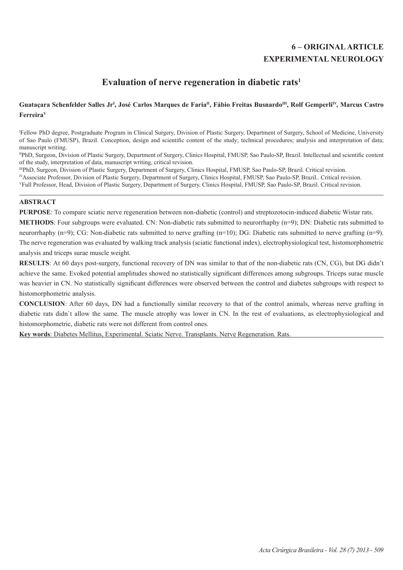# **6 – ORIGINAL ARTICLE EXPERIMENTAL NEUROLOGY**

# **Evaluation of nerve regeneration in diabetic rats1**

# Guataçara Schenfelder Salles Jr<sup>ı</sup>, José Carlos Marques de Faria<sup>n</sup>, Fábio Freitas Busnardo<sup>m</sup>, Rolf Gemperli<sup>iv</sup>, Marcus Castro **FerreiraV**

I Fellow PhD degree, Postgraduate Program in Clinical Surgery, Division of Plastic Surgery, Department of Surgery, School of Medicine, University of Sao Paulo (FMUSP), Brazil. Conception, design and scientific content of the study; technical procedures; analysis and interpretation of data; manuscript writing.

IIPhD, Surgeon, Division of Plastic Surgery, Department of Surgery, Clinics Hospital, FMUSP, Sao Paulo-SP, Brazil. Intellectual and scientific content of the study, interpretation of data, manuscript writing, critical revision.

IIIPhD, Surgeon, Division of Plastic Surgery, Department of Surgery, Clinics Hospital, FMUSP, Sao Paulo-SP, Brazil. Critical revision.

IVAssociate Professor, Division of Plastic Surgery, Department of Surgery, Clinics Hospital, FMUSP, Sao Paulo-SP, Brazil.. Critical revision.

VFull Professor, Head, Division of Plastic Surgery, Department of Surgery, Clinics Hospital, FMUSP, Sao Paulo-SP, Brazil. Critical revision.

## **ABSTRACT**

**PURPOSE**: To compare sciatic nerve regeneration between non-diabetic (control) and streptozotocin-induced diabetic Wistar rats.

**METHODS**: Four subgroups were evaluated. CN: Non-diabetic rats submitted to neurorrhaphy (n=9); DN: Diabetic rats submitted to neurorrhaphy (n=9); CG: Non-diabetic rats submitted to nerve grafting (n=10); DG: Diabetic rats submitted to nerve grafting (n=9). The nerve regeneration was evaluated by walking track analysis (sciatic functional index), electrophysiological test, histomorphometric analysis and triceps surae muscle weight.

**RESULTS**: At 60 days post-surgery, functional recovery of DN was similar to that of the non-diabetic rats (CN, CG), but DG didn't achieve the same. Evoked potential amplitudes showed no statistically significant differences among subgroups. Triceps surae muscle was heavier in CN. No statistically significant differences were observed between the control and diabetes subgroups with respect to histomorphometric analysis.

**CONCLUSION**: After 60 days, DN had a functionally similar recovery to that of the control animals, whereas nerve grafting in diabetic rats didn't allow the same. The muscle atrophy was lower in CN. In the rest of evaluations, as electrophysiological and histomorphometric, diabetic rats were not different from control ones.

**Key words**: Diabetes Mellitus, Experimental. Sciatic Nerve. Transplants. Nerve Regeneration. Rats.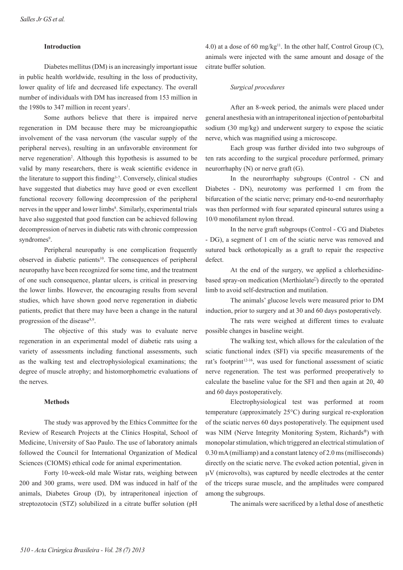## **Introduction**

Diabetes mellitus (DM) is an increasingly important issue in public health worldwide, resulting in the loss of productivity, lower quality of life and decreased life expectancy. The overall number of individuals with DM has increased from 153 million in the 1980s to 347 million in recent years<sup>1</sup>.

Some authors believe that there is impaired nerve regeneration in DM because there may be microangiopathic involvement of the vasa nervorum (the vascular supply of the peripheral nerves), resulting in an unfavorable environment for nerve regeneration<sup>2</sup>. Although this hypothesis is assumed to be valid by many researchers, there is weak scientific evidence in the literature to support this finding3-7. Conversely, clinical studies have suggested that diabetics may have good or even excellent functional recovery following decompression of the peripheral nerves in the upper and lower limbs<sup>8</sup>. Similarly, experimental trials have also suggested that good function can be achieved following decompression of nerves in diabetic rats with chronic compression syndromes<sup>9</sup>.

Peripheral neuropathy is one complication frequently observed in diabetic patients<sup>10</sup>. The consequences of peripheral neuropathy have been recognized for some time, and the treatment of one such consequence, plantar ulcers, is critical in preserving the lower limbs. However, the encouraging results from several studies, which have shown good nerve regeneration in diabetic patients, predict that there may have been a change in the natural progression of the disease<sup>8,9</sup>.

The objective of this study was to evaluate nerve regeneration in an experimental model of diabetic rats using a variety of assessments including functional assessments, such as the walking test and electrophysiological examinations; the degree of muscle atrophy; and histomorphometric evaluations of the nerves.

### **Methods**

The study was approved by the Ethics Committee for the Review of Research Projects at the Clinics Hospital, School of Medicine, University of Sao Paulo. The use of laboratory animals followed the Council for International Organization of Medical Sciences (CIOMS) ethical code for animal experimentation.

Forty 10-week-old male Wistar rats, weighing between 200 and 300 grams, were used. DM was induced in half of the animals, Diabetes Group (D), by intraperitoneal injection of streptozotocin (STZ) solubilized in a citrate buffer solution (pH

4.0) at a dose of 60 mg/kg<sup>11</sup>. In the other half, Control Group  $(C)$ , animals were injected with the same amount and dosage of the citrate buffer solution.

#### *Surgical procedures*

After an 8-week period, the animals were placed under general anesthesia with an intraperitoneal injection of pentobarbital sodium (30 mg/kg) and underwent surgery to expose the sciatic nerve, which was magnified using a microscope.

Each group was further divided into two subgroups of ten rats according to the surgical procedure performed, primary neurorrhaphy (N) or nerve graft (G).

In the neurorrhaphy subgroups (Control - CN and Diabetes - DN), neurotomy was performed 1 cm from the bifurcation of the sciatic nerve; primary end-to-end neurorrhaphy was then performed with four separated epineural sutures using a 10/0 monofilament nylon thread.

In the nerve graft subgroups (Control - CG and Diabetes - DG), a segment of 1 cm of the sciatic nerve was removed and sutured back orthotopically as a graft to repair the respective defect.

At the end of the surgery, we applied a chlorhexidinebased spray-on medication (Merthiolate<sup>[]</sup>) directly to the operated limb to avoid self-destruction and mutilation.

The animals' glucose levels were measured prior to DM induction, prior to surgery and at 30 and 60 days postoperatively.

The rats were weighed at different times to evaluate possible changes in baseline weight.

The walking test, which allows for the calculation of the sciatic functional index (SFI) via specific measurements of the rat's footprint<sup>12-16</sup>, was used for functional assessment of sciatic nerve regeneration. The test was performed preoperatively to calculate the baseline value for the SFI and then again at 20, 40 and 60 days postoperatively.

Electrophysiological test was performed at room temperature (approximately 25°C) during surgical re-exploration of the sciatic nerves 60 days postoperatively. The equipment used was NIM (Nerve Integrity Monitoring System, Richards®) with monopolar stimulation, which triggered an electrical stimulation of 0.30 mA (milliamp) and a constant latency of 2.0 ms (milliseconds) directly on the sciatic nerve. The evoked action potential, given in  $\mu$ V (microvolts), was captured by needle electrodes at the center of the triceps surae muscle, and the amplitudes were compared among the subgroups.

The animals were sacrificed by a lethal dose of anesthetic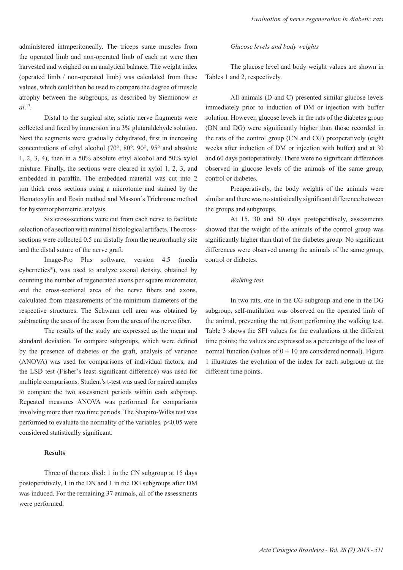administered intraperitoneally. The triceps surae muscles from the operated limb and non-operated limb of each rat were then harvested and weighed on an analytical balance. The weight index (operated limb / non-operated limb) was calculated from these values, which could then be used to compare the degree of muscle atrophy between the subgroups, as described by Siemionow *et al*. 17.

Distal to the surgical site, sciatic nerve fragments were collected and fixed by immersion in a 3% glutaraldehyde solution. Next the segments were gradually dehydrated, first in increasing concentrations of ethyl alcohol (70°, 80°, 90°, 95° and absolute 1, 2, 3, 4), then in a 50% absolute ethyl alcohol and 50% xylol mixture. Finally, the sections were cleared in xylol 1, 2, 3, and embedded in paraffin. The embedded material was cut into 2 µm thick cross sections using a microtome and stained by the Hematoxylin and Eosin method and Masson's Trichrome method for hystomorphometric analysis.

Six cross-sections were cut from each nerve to facilitate selection of a section with minimal histological artifacts. The crosssections were collected 0.5 cm distally from the neurorrhaphy site and the distal suture of the nerve graft.

Image-Pro Plus software, version 4.5 (media cybernetics®), was used to analyze axonal density, obtained by counting the number of regenerated axons per square micrometer, and the cross-sectional area of the nerve fibers and axons, calculated from measurements of the minimum diameters of the respective structures. The Schwann cell area was obtained by subtracting the area of the axon from the area of the nerve fiber.

The results of the study are expressed as the mean and standard deviation. To compare subgroups, which were defined by the presence of diabetes or the graft, analysis of variance (ANOVA) was used for comparisons of individual factors, and the LSD test (Fisher's least significant difference) was used for multiple comparisons. Student's t-test was used for paired samples to compare the two assessment periods within each subgroup. Repeated measures ANOVA was performed for comparisons involving more than two time periods. The Shapiro-Wilks test was performed to evaluate the normality of the variables.  $p<0.05$  were considered statistically significant.

#### **Results**

Three of the rats died: 1 in the CN subgroup at 15 days postoperatively, 1 in the DN and 1 in the DG subgroups after DM was induced. For the remaining 37 animals, all of the assessments were performed.

#### *Glucose levels and body weights*

The glucose level and body weight values are shown in Tables 1 and 2, respectively.

All animals (D and C) presented similar glucose levels immediately prior to induction of DM or injection with buffer solution. However, glucose levels in the rats of the diabetes group (DN and DG) were significantly higher than those recorded in the rats of the control group (CN and CG) preoperatively (eight weeks after induction of DM or injection with buffer) and at 30 and 60 days postoperatively. There were no significant differences observed in glucose levels of the animals of the same group, control or diabetes.

Preoperatively, the body weights of the animals were similar and there was no statistically significant difference between the groups and subgroups.

At 15, 30 and 60 days postoperatively, assessments showed that the weight of the animals of the control group was significantly higher than that of the diabetes group. No significant differences were observed among the animals of the same group, control or diabetes.

#### *Walking test*

In two rats, one in the CG subgroup and one in the DG subgroup, self-mutilation was observed on the operated limb of the animal, preventing the rat from performing the walking test. Table 3 shows the SFI values for the evaluations at the different time points; the values are expressed as a percentage of the loss of normal function (values of  $0 \pm 10$  are considered normal). Figure 1 illustrates the evolution of the index for each subgroup at the different time points.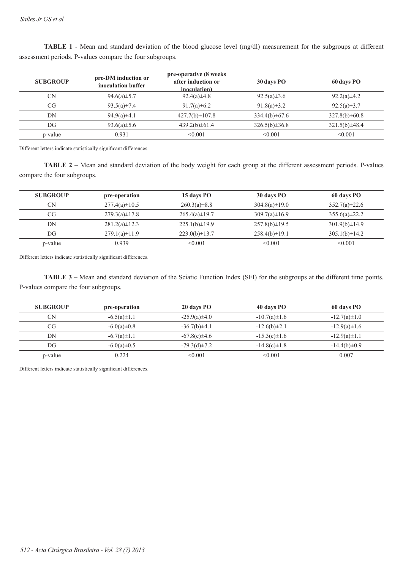| <b>SUBGROUP</b> | pre-DM induction or<br>inoculation buffer | pre-operative (8 weeks)<br>after induction or<br>inoculation) | 30 days PO          | 60 days PO          |
|-----------------|-------------------------------------------|---------------------------------------------------------------|---------------------|---------------------|
| <b>CN</b>       | 94.6(a) $\pm$ 5.7                         | $92.4(a)\pm4.8$                                               | $92.5(a)\pm3.6$     | $92.2(a)\pm4.2$     |
| <b>CG</b>       | 93.5(a) $\pm$ 7.4                         | 91.7(a) $\pm$ 6.2                                             | 91.8(a) $\pm$ 3.2   | 92.5(a) $\pm$ 3.7   |
| DN              | $94.9(a)\pm4.1$                           | $427.7(b) \pm 107.8$                                          | $334.4(b) \pm 67.6$ | $327.8(b) \pm 60.8$ |
| DG              | 93.6(a) $\pm$ 5.6                         | $439.2(b)\pm61.4$                                             | $326.5(b) \pm 36.8$ | $321.5(b) \pm 48.4$ |
| p-value         | 0.931                                     | < 0.001                                                       | < 0.001             | < 0.001             |

**TABLE 1** - Mean and standard deviation of the blood glucose level (mg/dl) measurement for the subgroups at different assessment periods. P-values compare the four subgroups.

Different letters indicate statistically significant differences.

**TABLE 2** – Mean and standard deviation of the body weight for each group at the different assessment periods. P-values compare the four subgroups.

| <b>SUBGROUP</b> | pre-operation       | 15 days PO          | 30 days PO          | 60 days PO          |
|-----------------|---------------------|---------------------|---------------------|---------------------|
| CN              | $277.4(a)\pm 10.5$  | $260.3(a) \pm 8.8$  | $304.8(a) \pm 19.0$ | $352.7(a) \pm 22.6$ |
| CG              | $279.3(a) \pm 17.8$ | $265.4(a)\pm19.7$   | $309.7(a) \pm 16.9$ | $355.6(a) \pm 22.2$ |
| DN              | $281.2(a)\pm 12.3$  | $225.1(b) \pm 19.9$ | $257.8(b) \pm 19.5$ | $301.9(b) \pm 14.9$ |
| DG              | $279.1(a)\pm11.9$   | $223.0(b) \pm 13.7$ | $258.4(b) \pm 19.1$ | $305.1(b) \pm 14.2$ |
| p-value         | 0.939               | < 0.001             | < 0.001             | < 0.001             |

Different letters indicate statistically significant differences.

**TABLE 3** – Mean and standard deviation of the Sciatic Function Index (SFI) for the subgroups at the different time points. P-values compare the four subgroups.

| <b>SUBGROUP</b> | pre-operation     | 20 days PO         | 40 days PO         | 60 days PO         |
|-----------------|-------------------|--------------------|--------------------|--------------------|
| CN              | $-6.5(a) \pm 1.1$ | $-25.9(a) \pm 4.0$ | $-10.7(a) \pm 1.6$ | $-12.7(a)\pm1.0$   |
| CG.             | $-6.0(a) \pm 0.8$ | $-36.7(b) \pm 4.1$ | $-12.6(b) \pm 2.1$ | $-12.9(a)\pm1.6$   |
| DN              | $-6.7(a) \pm 1.1$ | $-67.8(c) \pm 4.6$ | $-15.3(c) \pm 1.6$ | $-12.9(a)\pm1.1$   |
| DG              | $-6.0(a) \pm 0.5$ | $-79.3(d) \pm 7.2$ | $-14.8(c) \pm 1.8$ | $-14.4(b) \pm 0.9$ |
| p-value         | 0.224             | < 0.001            | < 0.001            | 0.007              |

Different letters indicate statistically significant differences.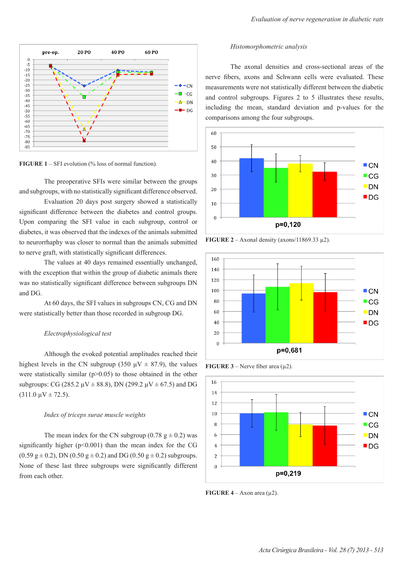

**FIGURE 1** – SFI evolution (% loss of normal function).

The preoperative SFIs were similar between the groups and subgroups, with no statistically significant difference observed.

Evaluation 20 days post surgery showed a statistically significant difference between the diabetes and control groups. Upon comparing the SFI value in each subgroup, control or diabetes, it was observed that the indexes of the animals submitted to neurorrhaphy was closer to normal than the animals submitted to nerve graft, with statistically significant differences.

The values at 40 days remained essentially unchanged, with the exception that within the group of diabetic animals there was no statistically significant difference between subgroups DN and DG.

At 60 days, the SFI values in subgroups CN, CG and DN were statistically better than those recorded in subgroup DG.

### *Electrophysiological test*

Although the evoked potential amplitudes reached their highest levels in the CN subgroup (350  $\mu$ V  $\pm$  87.9), the values were statistically similar  $(p>0.05)$  to those obtained in the other subgroups: CG (285.2  $\mu$ V  $\pm$  88.8), DN (299.2  $\mu$ V  $\pm$  67.5) and DG  $(311.0 \,\mu\text{V} \pm 72.5)$ .

#### *Index of triceps surae muscle weights*

The mean index for the CN subgroup (0.78  $g \pm 0.2$ ) was significantly higher  $(p<0.001)$  than the mean index for the CG  $(0.59 \text{ g} \pm 0.2)$ , DN  $(0.50 \text{ g} \pm 0.2)$  and DG  $(0.50 \text{ g} \pm 0.2)$  subgroups. None of these last three subgroups were significantly different from each other.

#### *Histomorphometric analysis*

The axonal densities and cross-sectional areas of the nerve fibers, axons and Schwann cells were evaluated. These measurements were not statistically different between the diabetic and control subgroups. Figures 2 to 5 illustrates these results, including the mean, standard deviation and p-values for the comparisons among the four subgroups.



**FIGURE 2** – Axonal density (axons/11869.33  $\mu$ 2).







**FIGURE 4** – Axon area  $(\mu 2)$ .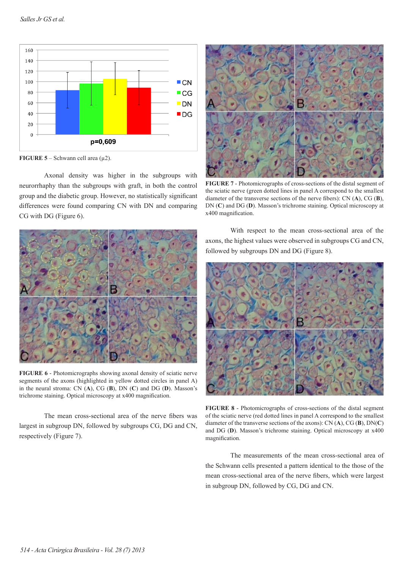

**FIGURE 5** – Schwann cell area  $(\mu2)$ .

Axonal density was higher in the subgroups with neurorrhaphy than the subgroups with graft, in both the control group and the diabetic group. However, no statistically significant differences were found comparing CN with DN and comparing CG with DG (Figure 6).



**FIGURE 6** - Photomicrographs showing axonal density of sciatic nerve segments of the axons (highlighted in yellow dotted circles in panel A) in the neural stroma: CN (**A**), CG (**B**), DN (**C**) and DG (**D**). Masson's trichrome staining. Optical microscopy at x400 magnification.

The mean cross-sectional area of the nerve fibers was largest in subgroup DN, followed by subgroups CG, DG and CN, respectively (Figure 7).



**FIGURE 7** - Photomicrographs of cross-sections of the distal segment of the sciatic nerve (green dotted lines in panel A correspond to the smallest diameter of the transverse sections of the nerve fibers): CN (**A**), CG (**B**), DN (**C**) and DG (**D**). Masson's trichrome staining. Optical microscopy at x400 magnification.

With respect to the mean cross-sectional area of the axons, the highest values were observed in subgroups CG and CN, followed by subgroups DN and DG (Figure 8).



**FIGURE 8** - Photomicrographs of cross-sections of the distal segment of the sciatic nerve (red dotted lines in panel A correspond to the smallest diameter of the transverse sections of the axons): CN (**A**), CG (**B**), DN(**C**) and DG (**D**). Masson's trichrome staining. Optical microscopy at x400 magnification.

The measurements of the mean cross-sectional area of the Schwann cells presented a pattern identical to the those of the mean cross-sectional area of the nerve fibers, which were largest in subgroup DN, followed by CG, DG and CN.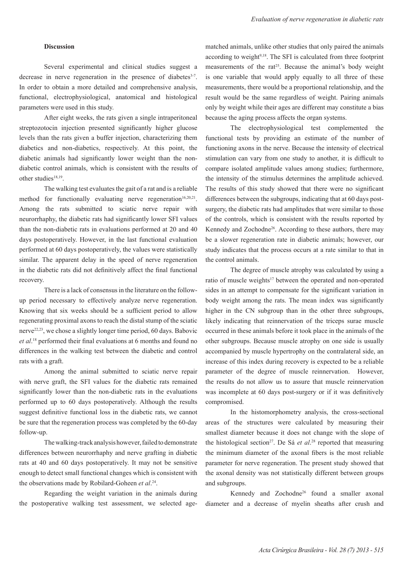#### **Discussion**

Several experimental and clinical studies suggest a decrease in nerve regeneration in the presence of diabetes<sup>3-7</sup>. In order to obtain a more detailed and comprehensive analysis, functional, electrophysiological, anatomical and histological parameters were used in this study.

After eight weeks, the rats given a single intraperitoneal streptozotocin injection presented significantly higher glucose levels than the rats given a buffer injection, characterizing them diabetics and non-diabetics, respectively. At this point, the diabetic animals had significantly lower weight than the nondiabetic control animals, which is consistent with the results of other studies<sup>18,19</sup>.

The walking test evaluates the gait of a rat and is a reliable method for functionally evaluating nerve regeneration<sup>16,20,21</sup>. Among the rats submitted to sciatic nerve repair with neurorrhaphy, the diabetic rats had significantly lower SFI values than the non-diabetic rats in evaluations performed at 20 and 40 days postoperatively. However, in the last functional evaluation performed at 60 days postoperatively, the values were statistically similar. The apparent delay in the speed of nerve regeneration in the diabetic rats did not definitively affect the final functional recovery.

There is a lack of consensus in the literature on the followup period necessary to effectively analyze nerve regeneration. Knowing that six weeks should be a sufficient period to allow regenerating proximal axons to reach the distal stump of the sciatic nerve22,23, we chose a slightly longer time period, 60 days. Babovic *et al*. 18 performed their final evaluations at 6 months and found no differences in the walking test between the diabetic and control rats with a graft.

Among the animal submitted to sciatic nerve repair with nerve graft, the SFI values for the diabetic rats remained significantly lower than the non-diabetic rats in the evaluations performed up to 60 days postoperatively. Although the results suggest definitive functional loss in the diabetic rats, we cannot be sure that the regeneration process was completed by the 60-day follow-up.

The walking-track analysis however, failed to demonstrate differences between neurorrhaphy and nerve grafting in diabetic rats at 40 and 60 days postoperatively. It may not be sensitive enough to detect small functional changes which is consistent with the observations made by Robilard-Goheen *et al*. <sup>24</sup>.

Regarding the weight variation in the animals during the postoperative walking test assessment, we selected agematched animals, unlike other studies that only paired the animals according to weight $9,18$ . The SFI is calculated from three footprint measurements of the rat<sup>25</sup>. Because the animal's body weight is one variable that would apply equally to all three of these measurements, there would be a proportional relationship, and the result would be the same regardless of weight. Pairing animals only by weight while their ages are different may constitute a bias because the aging process affects the organ systems.

The electrophysiological test complemented the functional tests by providing an estimate of the number of functioning axons in the nerve. Because the intensity of electrical stimulation can vary from one study to another, it is difficult to compare isolated amplitude values among studies; furthermore, the intensity of the stimulus determines the amplitude achieved. The results of this study showed that there were no significant differences between the subgroups, indicating that at 60 days postsurgery, the diabetic rats had amplitudes that were similar to those of the controls, which is consistent with the results reported by Kennedy and Zochodne<sup>26</sup>. According to these authors, there may be a slower regeneration rate in diabetic animals; however, our study indicates that the process occurs at a rate similar to that in the control animals.

The degree of muscle atrophy was calculated by using a ratio of muscle weights<sup>17</sup> between the operated and non-operated sides in an attempt to compensate for the significant variation in body weight among the rats. The mean index was significantly higher in the CN subgroup than in the other three subgroups, likely indicating that reinnervation of the triceps surae muscle occurred in these animals before it took place in the animals of the other subgroups. Because muscle atrophy on one side is usually accompanied by muscle hypertrophy on the contralateral side, an increase of this index during recovery is expected to be a reliable parameter of the degree of muscle reinnervation. However, the results do not allow us to assure that muscle reinnervation was incomplete at 60 days post-surgery or if it was definitively compromised.

In the histomorphometry analysis, the cross-sectional areas of the structures were calculated by measuring their smallest diameter because it does not change with the slope of the histological section<sup>27</sup>. De Sá *et al.*<sup>28</sup> reported that measuring the minimum diameter of the axonal fibers is the most reliable parameter for nerve regeneration. The present study showed that the axonal density was not statistically different between groups and subgroups.

Kennedy and Zochodne26 found a smaller axonal diameter and a decrease of myelin sheaths after crush and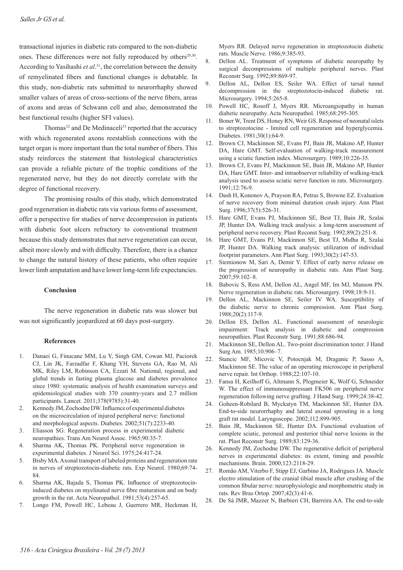transactional injuries in diabetic rats compared to the non-diabetic ones. These differences were not fully reproduced by others<sup>29,30</sup>. According to Yasihashi *et al*. <sup>31</sup>, the correlation between the density of remyelinated fibers and functional changes is debatable. In this study, non-diabetic rats submitted to neurorrhaphy showed smaller values of areas of cross-sections of the nerve fibers, areas of axons and areas of Schwann cell and also, demonstrated the best functional results (higher SFI values).

Thomas<sup>32</sup> and De Medinaceli<sup>33</sup> reported that the accuracy with which regenerated axons reestablish connections with the target organ is more important than the total number of fibers. This study reinforces the statement that histological characteristics can provide a reliable picture of the trophic conditions of the regenerated nerve, but they do not directly correlate with the degree of functional recovery.

The promising results of this study, which demonstrated good regeneration in diabetic rats via various forms of assessment, offer a perspective for studies of nerve decompression in patients with diabetic foot ulcers refractory to conventional treatment because this study demonstrates that nerve regeneration can occur, albeit more slowly and with difficulty. Therefore, there is a chance to change the natural history of these patients, who often require lower limb amputation and have lower long-term life expectancies.

#### **Conclusion**

The nerve regeneration in diabetic rats was slower but was not significantly jeopardized at 60 days post-surgery.

#### **References**

- 1. Danaei G, Finucane MM, Lu Y, Singh GM, Cowan MJ, Paciorek CJ, Lin JK, Farzadfar F, Khang YH, Stevens GA, Rao M, Ali MK, Riley LM, Robinson CA, Ezzati M. National, regional, and global trends in fasting plasma glucose and diabetes prevalence since 1980: systematic analysis of health examination surveys and epidemiological studies with 370 country-years and 2.7 million participants. Lancet. 2011;378(9785):31-40.
- 2. Kennedy JM, Zochodne DW. Influence of experimental diabetes on the microcirculation of injured peripheral nerve: functional and morphological aspects. Diabetes. 2002;51(7):2233-40.
- 3. Eliasson SG. Regeneration process in experimental diabetic neuropathies. Trans Am Neurol Assoc. 1965;90:35-7.
- 4. Sharma AK, Thomas PK. Peripheral nerve regeneration in experimental diabetes. J Neurol Sci. 1975;24:417-24.
- 5. Bisby MA. Axonal transport of labeled proteins and regeneration rate in nerves of streptozotocin-diabetic rats. Exp Neurol. 1980;69:74- 84.
- 6. Sharma AK, Bajada S, Thomas PK. Influence of streptozotocininduced diabetes on myelinated nerve fibre maturation and on body growth in the rat. Acta Neuropathol. 1981;53(4):257-65.
- 7. Longo FM, Powell HC, Lebeau J, Guerrero MR, Heckman H,

Myers RR. Delayed nerve regeneration in streptozotocin diabetic rats. Muscle Nerve. 1986;9:385-93.

- 8. Dellon AL. Treatment of symptoms of diabetic neuropathy by surgical decompressions of multiple peripheral nerves. Plast Reconstr Surg. 1992;89:869-97.
- 9. Dellon AL, Dellon ES, Seiler WA. Effect of tarsal tunnel decompression in the streptozotocin-induced diabetic rat. Microsurgery. 1994;5:265-8.
- 10. Powell HC, Rosoff J, Myers RR. Microangiopathy in human diabetic neuropathy. Acta Neuropathol. 1985;68:295-305.
- 11. Boner W, Trent DS, Honey RN, Weir GS. Response of neonatal islets to streptozotocine - limited cell regeneration and hyperglycemia. Diabetes. 1981;30(1):64-9.
- 12. Brown CJ, Mackinnon SE, Evans PJ, Bain JR, Makino AP, Hunter DA, Hare GMT. Self-evaluation of walking-track measurement using a sciatic function index. Microsurgery. 1989;10:226-35.
- 13. Brown CJ, Evans PJ, Mackinnon SE, Bain JR, Makino AP, Hunter DA, Hare GMT. Inter- and intraobserver reliability of walking-track analysis used to assess sciatic nerve function in rats. Microsurgery. 1991;12:76-9.
- 14. Dash H, Kononov A, Prayson RA, Petras S, Browne EZ. Evaluation of nerve recovery from minimal duration crush injury. Ann Plast Surg. 1996;37(5):526-31.
- 15. Hare GMT, Evans PJ, Mackinnon SE, Best TJ, Bain JR, Szalai JP, Hunter DA. Walking track analysis: a long-term assessment of peripheral nerve recovery. Plast Reconst Surg. 1992;89(2):251-8.
- 16. Hare GMT, Evans PJ, Mackinnon SE, Best TJ, Midha R, Szalai JP, Hunter DA. Walking track analysis: utilization of individual footprint parameters. Ann Plast Surg. 1993;30(2):147-53.
- 17. Siemionow M, Sari A, Demir Y. Effect of early nerve release on the progression of neuropathy in diabetic rats. Ann Plast Surg. 2007;59:102–8.
- 18. Babovic S, Ress AM, Dellon AL, Angel MF, Im MJ, Manson PN. Nerve regeneration in diabetic rats. Microsurgery. 1998;18:9-11.
- 19. Dellon AL, Mackinnon SE, Seiler IV WA. Susceptibility of the diabetic nerve to chronic compression. Ann Plast Surg. 1988;20(2):117-9.
- 20. Dellon ES, Dellon AL. Functional assessment of neurologic impairment: Track analysis in diabetic and compression neuropathies. Plast Reconstr Surg. 1991;88:686-94.
- 21. Mackinnon SE, Dellon AL. Two-point discrimination tester. J Hand Surg Am. 1985;10:906–7.
- 22. Stancic MF, Micovic V, Potocnjak M, Draganic P, Sasso A, Mackinnon SE. The value of an operating microscope in peripheral nerve repair. Int Orthop. 1988;22:107-10.
- 23. Fansa H, Keilhoff G, Altmann S, Plogmeier K, Wolf G, Schneider W. The effect of immunosuppressant FK506 on peripheral nerve regeneration following nerve grafting. J Hand Surg. 1999;24:38-42.
- 24. Goheen-Robilard B, Myckatyn TM, Mackinnon SE, Hunter DA. End-to-side neurorrhaphy and lateral axonal sprouting in a long graft rat model. Laryngoscope. 2002;112:899-905.
- 25. Bain JR, Mackinnon SE, Hunter DA. Functional evaluation of complete sciatic, peroneal and posterior tibial nerve lesions in the rat. Plast Reconstr Surg. 1989;83:129-36.
- 26. Kennedy JM, Zochodne DW. The regenerative deficit of peripheral nerves in experimental diabetes: its extent, timing and possible mechanisms. Brain. 2000;123:2118-29.
- 27. Romão AM, Viterbo F, Stipp EJ, Garbino JA, Rodrigues JA. Muscle electro stimulation of the cranial tibial muscle after crushing of the common fibular nerve: neurophysiologic and morphometric study in rats. Rev Bras Ortop. 2007;42(3):41-6.
- 28. De Sá JMR, Mazzer N, Barbieri CH, Barreira AA. The end-to-side